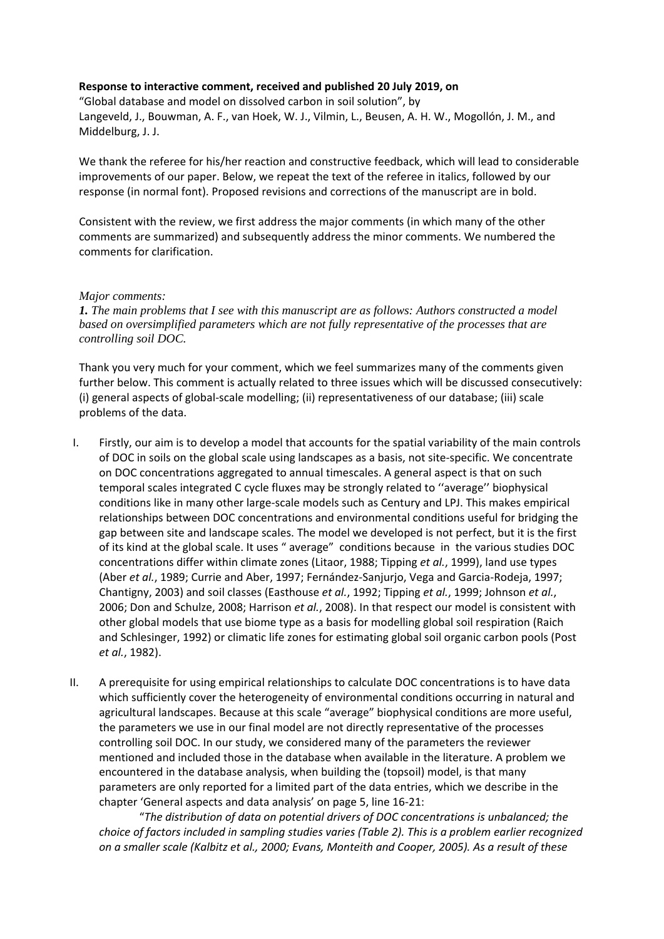### **Response to interactive comment, received and published 20 July 2019, on**

"Global database and model on dissolved carbon in soil solution", by Langeveld, J., Bouwman, A. F., van Hoek, W. J., Vilmin, L., Beusen, A. H. W., Mogollón, J. M., and Middelburg, J. J.

We thank the referee for his/her reaction and constructive feedback, which will lead to considerable improvements of our paper. Below, we repeat the text of the referee in italics, followed by our response (in normal font). Proposed revisions and corrections of the manuscript are in bold.

Consistent with the review, we first address the major comments (in which many of the other comments are summarized) and subsequently address the minor comments. We numbered the comments for clarification.

#### *Major comments:*

*1. The main problems that I see with this manuscript are as follows: Authors constructed a model based on oversimplified parameters which are not fully representative of the processes that are controlling soil DOC.* 

Thank you very much for your comment, which we feel summarizes many of the comments given further below. This comment is actually related to three issues which will be discussed consecutively: (i) general aspects of global-scale modelling; (ii) representativeness of our database; (iii) scale problems of the data.

- I. Firstly, our aim is to develop a model that accounts for the spatial variability of the main controls of DOC in soils on the global scale using landscapes as a basis, not site-specific. We concentrate on DOC concentrations aggregated to annual timescales. A general aspect is that on such temporal scales integrated C cycle fluxes may be strongly related to ''average'' biophysical conditions like in many other large-scale models such as Century and LPJ. This makes empirical relationships between DOC concentrations and environmental conditions useful for bridging the gap between site and landscape scales. The model we developed is not perfect, but it is the first of its kind at the global scale. It uses " average" conditions because in the various studies DOC concentrations differ within climate zones (Litaor, 1988; Tipping *et al.*, 1999), land use types (Aber *et al.*, 1989; Currie and Aber, 1997; Fernández-Sanjurjo, Vega and Garcia-Rodeja, 1997; Chantigny, 2003) and soil classes (Easthouse *et al.*, 1992; Tipping *et al.*, 1999; Johnson *et al.*, 2006; Don and Schulze, 2008; Harrison *et al.*, 2008). In that respect our model is consistent with other global models that use biome type as a basis for modelling global soil respiration (Raich and Schlesinger, 1992) or climatic life zones for estimating global soil organic carbon pools (Post *et al.*, 1982).
- II. A prerequisite for using empirical relationships to calculate DOC concentrations is to have data which sufficiently cover the heterogeneity of environmental conditions occurring in natural and agricultural landscapes. Because at this scale "average" biophysical conditions are more useful, the parameters we use in our final model are not directly representative of the processes controlling soil DOC. In our study, we considered many of the parameters the reviewer mentioned and included those in the database when available in the literature. A problem we encountered in the database analysis, when building the (topsoil) model, is that many parameters are only reported for a limited part of the data entries, which we describe in the chapter 'General aspects and data analysis' on page 5, line 16-21:

"*The distribution of data on potential drivers of DOC concentrations is unbalanced; the choice of factors included in sampling studies varies (Table 2). This is a problem earlier recognized on a smaller scale (Kalbitz et al., 2000; Evans, Monteith and Cooper, 2005). As a result of these*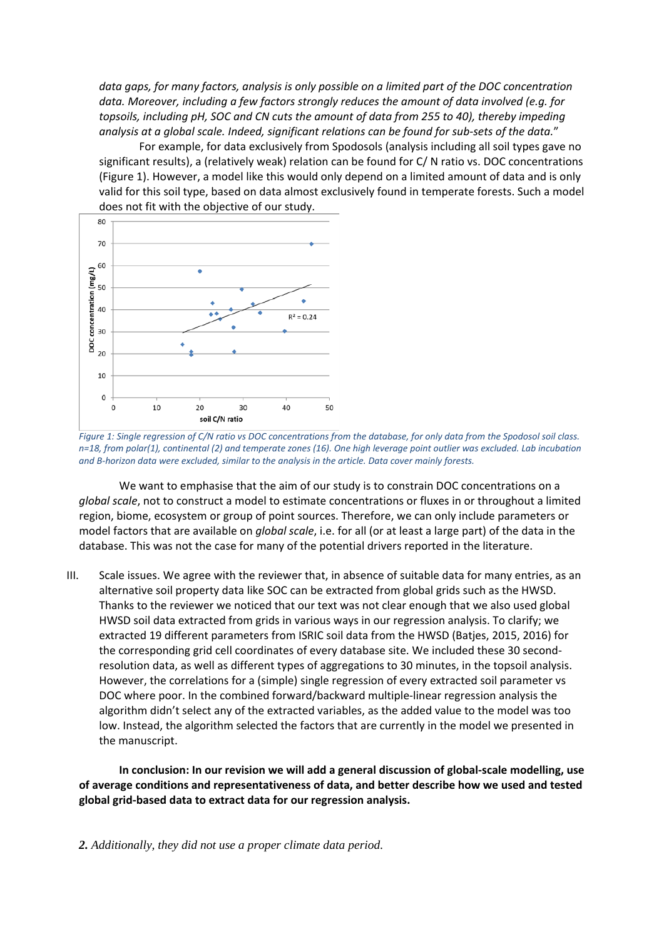*data gaps, for many factors, analysis is only possible on a limited part of the DOC concentration data. Moreover, including a few factors strongly reduces the amount of data involved (e.g. for topsoils, including pH, SOC and CN cuts the amount of data from 255 to 40), thereby impeding analysis at a global scale. Indeed, significant relations can be found for sub-sets of the data.*"

For example, for data exclusively from Spodosols (analysis including all soil types gave no significant results), a (relatively weak) relation can be found for C/ N ratio vs. DOC concentrations (Figure 1). However, a model like this would only depend on a limited amount of data and is only valid for this soil type, based on data almost exclusively found in temperate forests. Such a model does not fit with the objective of our study.



*Figure 1: Single regression of C/N ratio vs DOC concentrations from the database, for only data from the Spodosol soil class. n=18, from polar(1), continental (2) and temperate zones (16). One high leverage point outlier was excluded. Lab incubation and B-horizon data were excluded, similar to the analysis in the article. Data cover mainly forests.*

We want to emphasise that the aim of our study is to constrain DOC concentrations on a *global scale*, not to construct a model to estimate concentrations or fluxes in or throughout a limited region, biome, ecosystem or group of point sources. Therefore, we can only include parameters or model factors that are available on *global scale*, i.e. for all (or at least a large part) of the data in the database. This was not the case for many of the potential drivers reported in the literature.

III. Scale issues. We agree with the reviewer that, in absence of suitable data for many entries, as an alternative soil property data like SOC can be extracted from global grids such as the HWSD. Thanks to the reviewer we noticed that our text was not clear enough that we also used global HWSD soil data extracted from grids in various ways in our regression analysis. To clarify; we extracted 19 different parameters from ISRIC soil data from the HWSD (Batjes, 2015, 2016) for the corresponding grid cell coordinates of every database site. We included these 30 secondresolution data, as well as different types of aggregations to 30 minutes, in the topsoil analysis. However, the correlations for a (simple) single regression of every extracted soil parameter vs DOC where poor. In the combined forward/backward multiple-linear regression analysis the algorithm didn't select any of the extracted variables, as the added value to the model was too low. Instead, the algorithm selected the factors that are currently in the model we presented in the manuscript.

**In conclusion: In our revision we will add a general discussion of global-scale modelling, use of average conditions and representativeness of data, and better describe how we used and tested global grid-based data to extract data for our regression analysis.**

*2. Additionally, they did not use a proper climate data period.*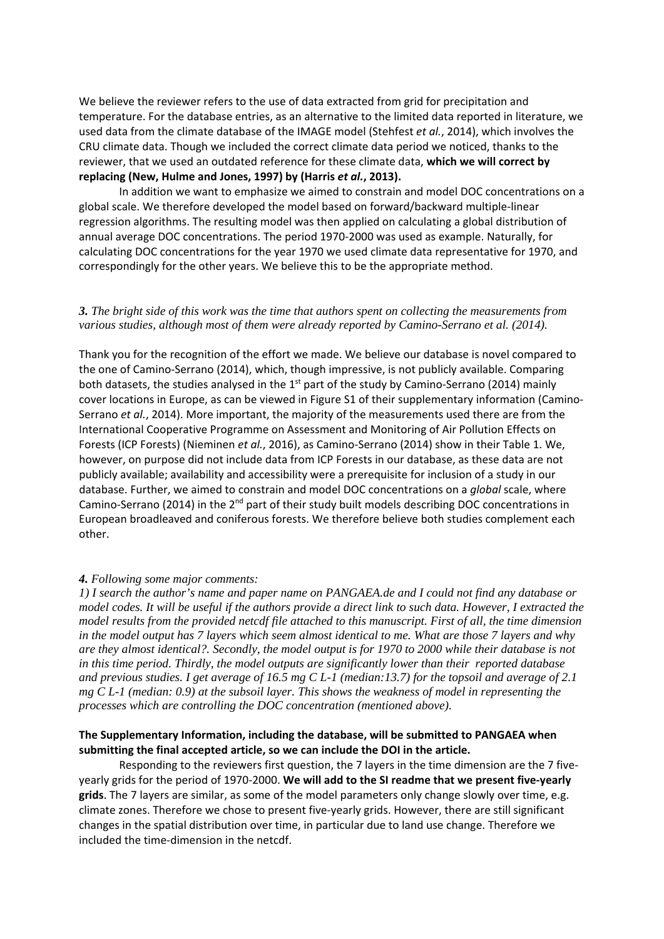We believe the reviewer refers to the use of data extracted from grid for precipitation and temperature. For the database entries, as an alternative to the limited data reported in literature, we used data from the climate database of the IMAGE model (Stehfest *et al.*, 2014), which involves the CRU climate data. Though we included the correct climate data period we noticed, thanks to the reviewer, that we used an outdated reference for these climate data, **which we will correct by replacing (New, Hulme and Jones, 1997) by (Harris** *et al.***, 2013).** 

In addition we want to emphasize we aimed to constrain and model DOC concentrations on a global scale. We therefore developed the model based on forward/backward multiple-linear regression algorithms. The resulting model was then applied on calculating a global distribution of annual average DOC concentrations. The period 1970-2000 was used as example. Naturally, for calculating DOC concentrations for the year 1970 we used climate data representative for 1970, and correspondingly for the other years. We believe this to be the appropriate method.

#### *3. The bright side of this work was the time that authors spent on collecting the measurements from various studies, although most of them were already reported by Camino-Serrano et al. (2014).*

Thank you for the recognition of the effort we made. We believe our database is novel compared to the one of Camino-Serrano (2014), which, though impressive, is not publicly available. Comparing both datasets, the studies analysed in the 1<sup>st</sup> part of the study by Camino-Serrano (2014) mainly cover locations in Europe, as can be viewed in Figure S1 of their supplementary information (Camino-Serrano *et al.*, 2014). More important, the majority of the measurements used there are from the International Cooperative Programme on Assessment and Monitoring of Air Pollution Effects on Forests (ICP Forests) (Nieminen *et al.*, 2016), as Camino-Serrano (2014) show in their Table 1. We, however, on purpose did not include data from ICP Forests in our database, as these data are not publicly available; availability and accessibility were a prerequisite for inclusion of a study in our database. Further, we aimed to constrain and model DOC concentrations on a *global* scale, where Camino-Serrano (2014) in the  $2<sup>nd</sup>$  part of their study built models describing DOC concentrations in European broadleaved and coniferous forests. We therefore believe both studies complement each other.

#### *4. Following some major comments:*

*1) I search the author's name and paper name on PANGAEA.de and I could not find any database or model codes. It will be useful if the authors provide a direct link to such data. However, I extracted the model results from the provided netcdf file attached to this manuscript. First of all, the time dimension in the model output has 7 layers which seem almost identical to me. What are those 7 layers and why are they almost identical?. Secondly, the model output is for 1970 to 2000 while their database is not in this time period. Thirdly, the model outputs are significantly lower than their reported database and previous studies. I get average of 16.5 mg C L-1 (median:13.7) for the topsoil and average of 2.1 mg C L-1 (median: 0.9) at the subsoil layer. This shows the weakness of model in representing the processes which are controlling the DOC concentration (mentioned above).*

#### **The Supplementary Information, including the database, will be submitted to PANGAEA when submitting the final accepted article, so we can include the DOI in the article.**

Responding to the reviewers first question, the 7 layers in the time dimension are the 7 fiveyearly grids for the period of 1970-2000. **We will add to the SI readme that we present five-yearly grids**. The 7 layers are similar, as some of the model parameters only change slowly over time, e.g. climate zones. Therefore we chose to present five-yearly grids. However, there are still significant changes in the spatial distribution over time, in particular due to land use change. Therefore we included the time-dimension in the netcdf.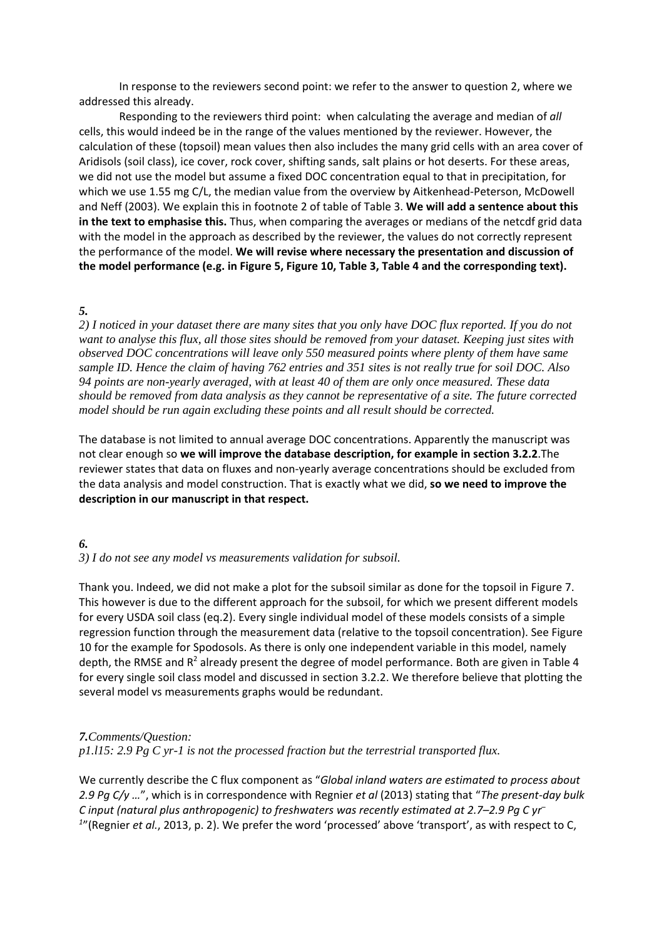In response to the reviewers second point: we refer to the answer to question 2, where we addressed this already.

Responding to the reviewers third point: when calculating the average and median of *all* cells, this would indeed be in the range of the values mentioned by the reviewer. However, the calculation of these (topsoil) mean values then also includes the many grid cells with an area cover of Aridisols (soil class), ice cover, rock cover, shifting sands, salt plains or hot deserts. For these areas, we did not use the model but assume a fixed DOC concentration equal to that in precipitation, for which we use 1.55 mg C/L, the median value from the overview by Aitkenhead-Peterson, McDowell and Neff (2003). We explain this in footnote 2 of table of Table 3. **We will add a sentence about this in the text to emphasise this.** Thus, when comparing the averages or medians of the netcdf grid data with the model in the approach as described by the reviewer, the values do not correctly represent the performance of the model. **We will revise where necessary the presentation and discussion of the model performance (e.g. in Figure 5, Figure 10, Table 3, Table 4 and the corresponding text).**

# *5.*

*2) I noticed in your dataset there are many sites that you only have DOC flux reported. If you do not want to analyse this flux, all those sites should be removed from your dataset. Keeping just sites with observed DOC concentrations will leave only 550 measured points where plenty of them have same sample ID. Hence the claim of having 762 entries and 351 sites is not really true for soil DOC. Also 94 points are non-yearly averaged, with at least 40 of them are only once measured. These data should be removed from data analysis as they cannot be representative of a site. The future corrected model should be run again excluding these points and all result should be corrected.*

The database is not limited to annual average DOC concentrations. Apparently the manuscript was not clear enough so **we will improve the database description, for example in section 3.2.2**.The reviewer states that data on fluxes and non-yearly average concentrations should be excluded from the data analysis and model construction. That is exactly what we did, **so we need to improve the description in our manuscript in that respect.**

# *6.*

### *3) I do not see any model vs measurements validation for subsoil.*

Thank you. Indeed, we did not make a plot for the subsoil similar as done for the topsoil in Figure 7. This however is due to the different approach for the subsoil, for which we present different models for every USDA soil class (eq.2). Every single individual model of these models consists of a simple regression function through the measurement data (relative to the topsoil concentration). See Figure 10 for the example for Spodosols. As there is only one independent variable in this model, namely depth, the RMSE and R<sup>2</sup> already present the degree of model performance. Both are given in Table 4 for every single soil class model and discussed in section 3.2.2. We therefore believe that plotting the several model vs measurements graphs would be redundant.

### *7.Comments/Question:*

*p1.l15: 2.9 Pg C yr-1 is not the processed fraction but the terrestrial transported flux.*

We currently describe the C flux component as "*Global inland waters are estimated to process about 2.9 Pg C/y …*", which is in correspondence with Regnier *et al* (2013) stating that "*The present-day bulk C input (natural plus anthropogenic) to freshwaters was recently estimated at 2.7–2.9 Pg C yr– 1* "(Regnier *et al.*, 2013, p. 2). We prefer the word 'processed' above 'transport', as with respect to C,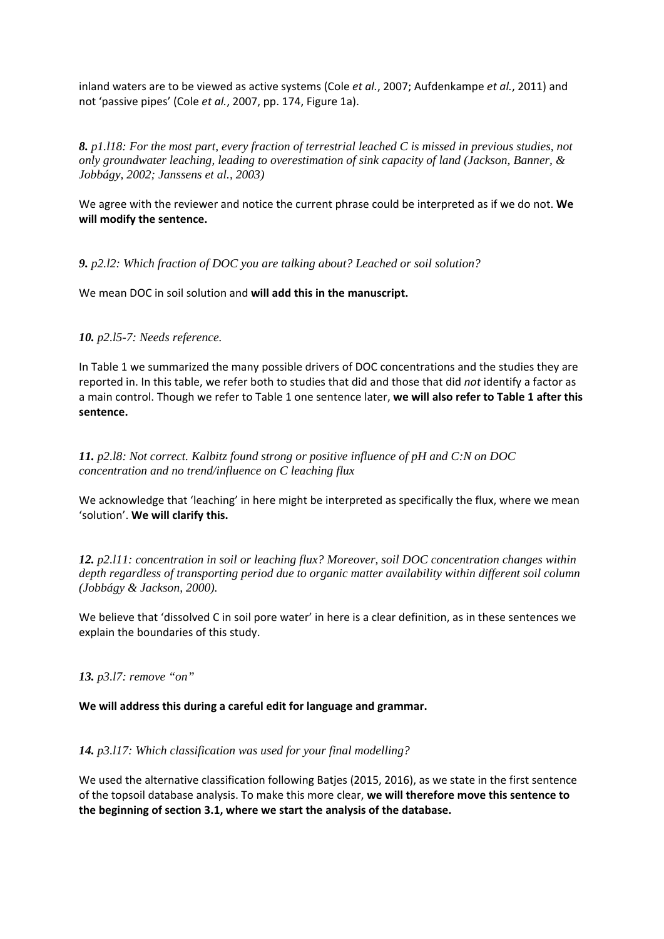inland waters are to be viewed as active systems (Cole *et al.*, 2007; Aufdenkampe *et al.*, 2011) and not 'passive pipes' (Cole *et al.*, 2007, pp. 174, Figure 1a).

*8. p1.l18: For the most part, every fraction of terrestrial leached C is missed in previous studies, not only groundwater leaching, leading to overestimation of sink capacity of land (Jackson, Banner, & Jobbágy, 2002; Janssens et al., 2003)*

We agree with the reviewer and notice the current phrase could be interpreted as if we do not. **We will modify the sentence.**

*9. p2.l2: Which fraction of DOC you are talking about? Leached or soil solution?*

We mean DOC in soil solution and **will add this in the manuscript.**

## *10. p2.l5-7: Needs reference.*

In Table 1 we summarized the many possible drivers of DOC concentrations and the studies they are reported in. In this table, we refer both to studies that did and those that did *not* identify a factor as a main control. Though we refer to Table 1 one sentence later, **we will also refer to Table 1 after this sentence.**

*11. p2.l8: Not correct. Kalbitz found strong or positive influence of pH and C:N on DOC concentration and no trend/influence on C leaching flux*

We acknowledge that 'leaching' in here might be interpreted as specifically the flux, where we mean 'solution'. **We will clarify this.**

*12. p2.l11: concentration in soil or leaching flux? Moreover, soil DOC concentration changes within depth regardless of transporting period due to organic matter availability within different soil column (Jobbágy & Jackson, 2000).*

We believe that 'dissolved C in soil pore water' in here is a clear definition, as in these sentences we explain the boundaries of this study.

### *13. p3.l7: remove "on"*

### **We will address this during a careful edit for language and grammar.**

### *14. p3.l17: Which classification was used for your final modelling?*

We used the alternative classification following Batjes (2015, 2016), as we state in the first sentence of the topsoil database analysis. To make this more clear, **we will therefore move this sentence to the beginning of section 3.1, where we start the analysis of the database.**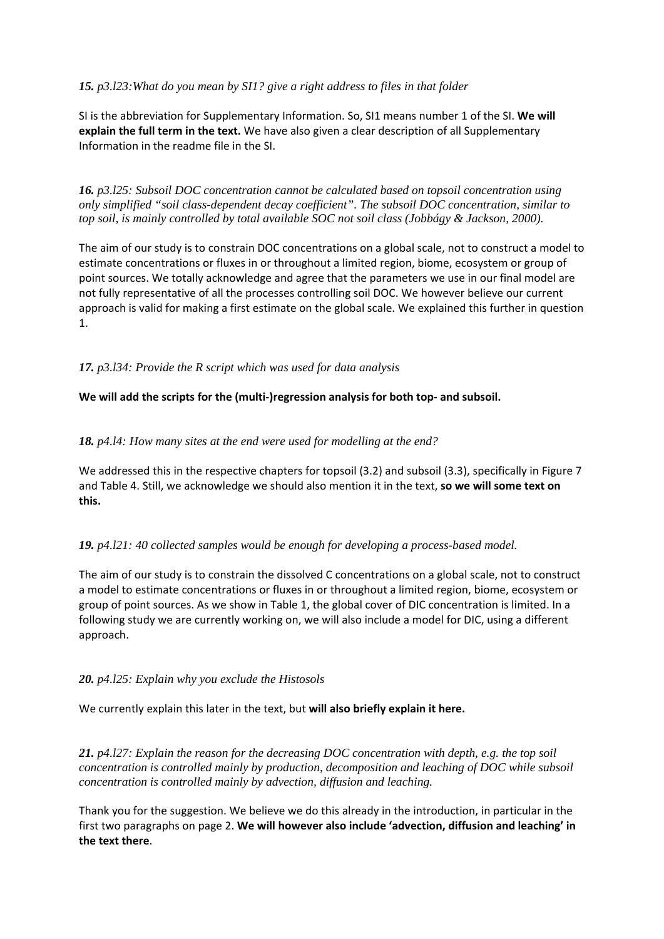# *15. p3.l23:What do you mean by SI1? give a right address to files in that folder*

SI is the abbreviation for Supplementary Information. So, SI1 means number 1 of the SI. **We will explain the full term in the text.** We have also given a clear description of all Supplementary Information in the readme file in the SI.

*16. p3.l25: Subsoil DOC concentration cannot be calculated based on topsoil concentration using only simplified "soil class-dependent decay coefficient". The subsoil DOC concentration, similar to top soil, is mainly controlled by total available SOC not soil class (Jobbágy & Jackson, 2000).*

The aim of our study is to constrain DOC concentrations on a global scale, not to construct a model to estimate concentrations or fluxes in or throughout a limited region, biome, ecosystem or group of point sources. We totally acknowledge and agree that the parameters we use in our final model are not fully representative of all the processes controlling soil DOC. We however believe our current approach is valid for making a first estimate on the global scale. We explained this further in question 1.

*17. p3.l34: Provide the R script which was used for data analysis*

## **We will add the scripts for the (multi-)regression analysis for both top- and subsoil.**

## *18. p4.l4: How many sites at the end were used for modelling at the end?*

We addressed this in the respective chapters for topsoil (3.2) and subsoil (3.3), specifically in Figure 7 and Table 4. Still, we acknowledge we should also mention it in the text, **so we will some text on this.**

### *19. p4.l21: 40 collected samples would be enough for developing a process-based model.*

The aim of our study is to constrain the dissolved C concentrations on a global scale, not to construct a model to estimate concentrations or fluxes in or throughout a limited region, biome, ecosystem or group of point sources. As we show in Table 1, the global cover of DIC concentration is limited. In a following study we are currently working on, we will also include a model for DIC, using a different approach.

### *20. p4.l25: Explain why you exclude the Histosols*

We currently explain this later in the text, but **will also briefly explain it here.**

*21. p4.l27: Explain the reason for the decreasing DOC concentration with depth, e.g. the top soil concentration is controlled mainly by production, decomposition and leaching of DOC while subsoil concentration is controlled mainly by advection, diffusion and leaching.*

Thank you for the suggestion. We believe we do this already in the introduction, in particular in the first two paragraphs on page 2. **We will however also include 'advection, diffusion and leaching' in the text there**.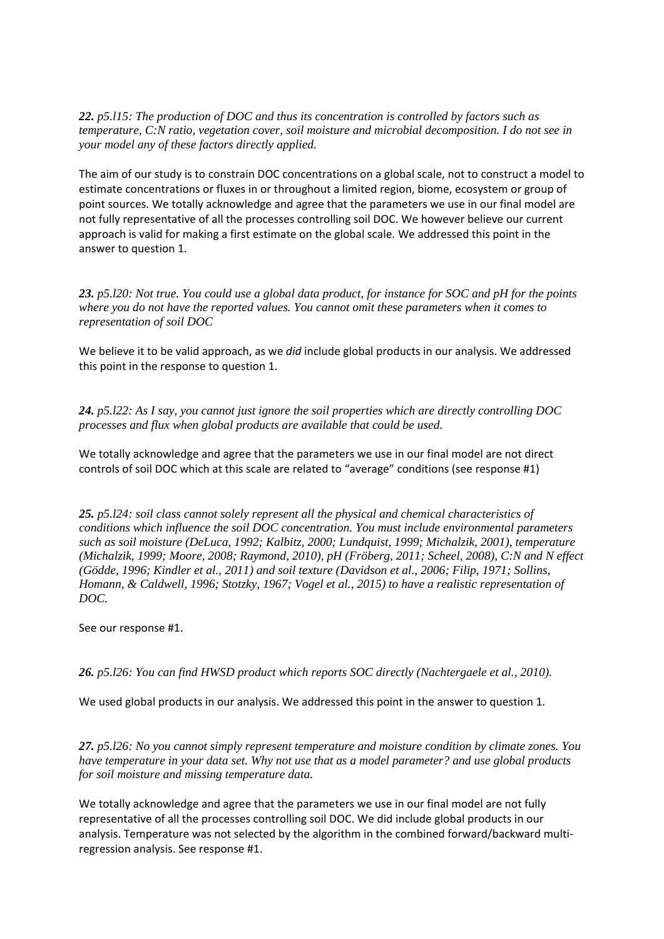*22. p5.l15: The production of DOC and thus its concentration is controlled by factors such as temperature, C:N ratio, vegetation cover, soil moisture and microbial decomposition. I do not see in your model any of these factors directly applied.*

The aim of our study is to constrain DOC concentrations on a global scale, not to construct a model to estimate concentrations or fluxes in or throughout a limited region, biome, ecosystem or group of point sources. We totally acknowledge and agree that the parameters we use in our final model are not fully representative of all the processes controlling soil DOC. We however believe our current approach is valid for making a first estimate on the global scale. We addressed this point in the answer to question 1.

*23. p5.l20: Not true. You could use a global data product, for instance for SOC and pH for the points where you do not have the reported values. You cannot omit these parameters when it comes to representation of soil DOC*

We believe it to be valid approach, as we *did* include global products in our analysis. We addressed this point in the response to question 1.

*24. p5.l22: As I say, you cannot just ignore the soil properties which are directly controlling DOC processes and flux when global products are available that could be used.*

We totally acknowledge and agree that the parameters we use in our final model are not direct controls of soil DOC which at this scale are related to "average" conditions (see response #1)

*25. p5.l24: soil class cannot solely represent all the physical and chemical characteristics of conditions which influence the soil DOC concentration. You must include environmental parameters such as soil moisture (DeLuca, 1992; Kalbitz, 2000; Lundquist, 1999; Michalzik, 2001), temperature (Michalzik, 1999; Moore, 2008; Raymond, 2010), pH (Fröberg, 2011; Scheel, 2008), C:N and N effect (Gödde, 1996; Kindler et al., 2011) and soil texture (Davidson et al., 2006; Filip, 1971; Sollins, Homann, & Caldwell, 1996; Stotzky, 1967; Vogel et al., 2015) to have a realistic representation of DOC.*

See our response #1.

*26. p5.l26: You can find HWSD product which reports SOC directly (Nachtergaele et al., 2010).*

We used global products in our analysis. We addressed this point in the answer to question 1.

*27. p5.l26: No you cannot simply represent temperature and moisture condition by climate zones. You have temperature in your data set. Why not use that as a model parameter? and use global products for soil moisture and missing temperature data.*

We totally acknowledge and agree that the parameters we use in our final model are not fully representative of all the processes controlling soil DOC. We did include global products in our analysis. Temperature was not selected by the algorithm in the combined forward/backward multiregression analysis. See response #1.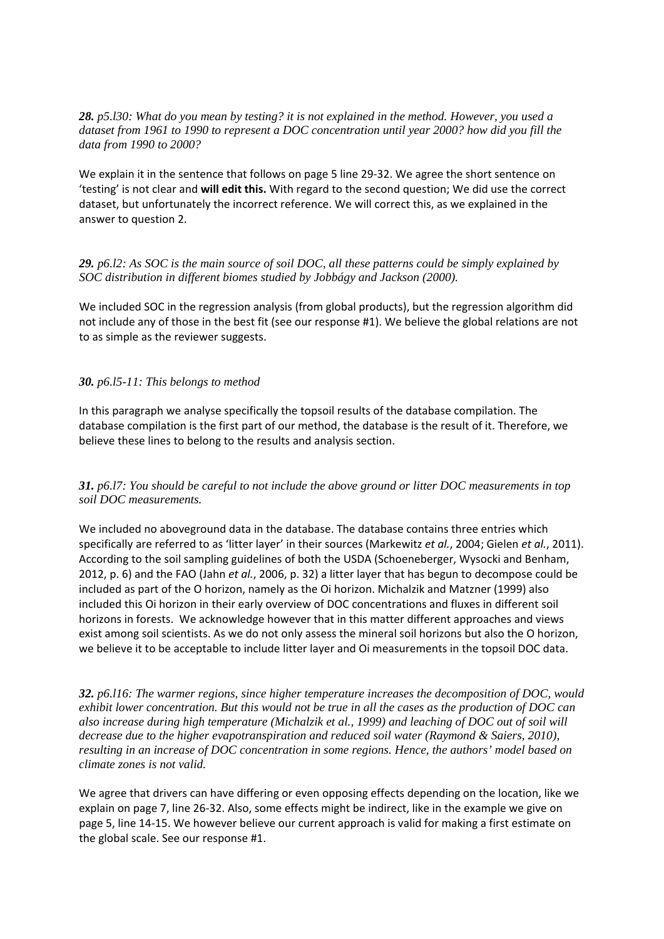*28. p5.l30: What do you mean by testing? it is not explained in the method. However, you used a dataset from 1961 to 1990 to represent a DOC concentration until year 2000? how did you fill the data from 1990 to 2000?*

We explain it in the sentence that follows on page 5 line 29-32. We agree the short sentence on 'testing' is not clear and **will edit this.** With regard to the second question; We did use the correct dataset, but unfortunately the incorrect reference. We will correct this, as we explained in the answer to question 2.

*29. p6.l2: As SOC is the main source of soil DOC, all these patterns could be simply explained by SOC distribution in different biomes studied by Jobbágy and Jackson (2000).*

We included SOC in the regression analysis (from global products), but the regression algorithm did not include any of those in the best fit (see our response #1). We believe the global relations are not to as simple as the reviewer suggests.

#### *30. p6.l5-11: This belongs to method*

In this paragraph we analyse specifically the topsoil results of the database compilation. The database compilation is the first part of our method, the database is the result of it. Therefore, we believe these lines to belong to the results and analysis section.

### *31. p6.l7: You should be careful to not include the above ground or litter DOC measurements in top soil DOC measurements.*

We included no aboveground data in the database. The database contains three entries which specifically are referred to as 'litter layer' in their sources (Markewitz *et al.*, 2004; Gielen *et al.*, 2011). According to the soil sampling guidelines of both the USDA (Schoeneberger, Wysocki and Benham, 2012, p. 6) and the FAO (Jahn *et al.*, 2006, p. 32) a litter layer that has begun to decompose could be included as part of the O horizon, namely as the Oi horizon. Michalzik and Matzner (1999) also included this Oi horizon in their early overview of DOC concentrations and fluxes in different soil horizons in forests. We acknowledge however that in this matter different approaches and views exist among soil scientists. As we do not only assess the mineral soil horizons but also the O horizon, we believe it to be acceptable to include litter layer and Oi measurements in the topsoil DOC data.

*32. p6.l16: The warmer regions, since higher temperature increases the decomposition of DOC, would exhibit lower concentration. But this would not be true in all the cases as the production of DOC can also increase during high temperature (Michalzik et al., 1999) and leaching of DOC out of soil will decrease due to the higher evapotranspiration and reduced soil water (Raymond & Saiers, 2010), resulting in an increase of DOC concentration in some regions. Hence, the authors' model based on climate zones is not valid.*

We agree that drivers can have differing or even opposing effects depending on the location, like we explain on page 7, line 26-32. Also, some effects might be indirect, like in the example we give on page 5, line 14-15. We however believe our current approach is valid for making a first estimate on the global scale. See our response #1.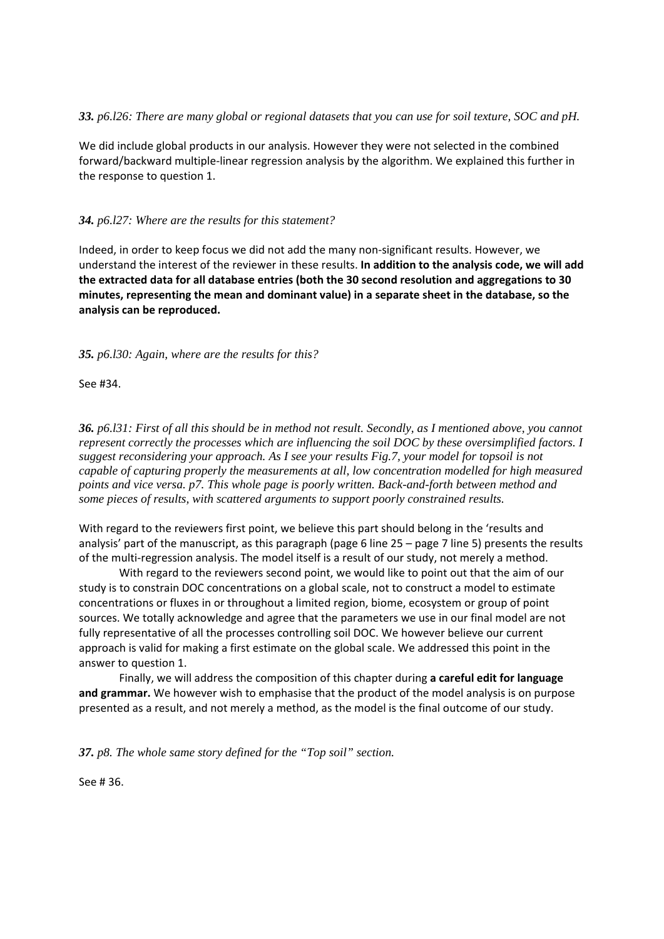### *33. p6.l26: There are many global or regional datasets that you can use for soil texture, SOC and pH.*

We did include global products in our analysis. However they were not selected in the combined forward/backward multiple-linear regression analysis by the algorithm. We explained this further in the response to question 1.

## *34. p6.l27: Where are the results for this statement?*

Indeed, in order to keep focus we did not add the many non-significant results. However, we understand the interest of the reviewer in these results. **In addition to the analysis code, we will add the extracted data for all database entries (both the 30 second resolution and aggregations to 30 minutes, representing the mean and dominant value) in a separate sheet in the database, so the analysis can be reproduced.**

*35. p6.l30: Again, where are the results for this?*

See #34.

*36. p6.l31: First of all this should be in method not result. Secondly, as I mentioned above, you cannot represent correctly the processes which are influencing the soil DOC by these oversimplified factors. I suggest reconsidering your approach. As I see your results Fig.7, your model for topsoil is not capable of capturing properly the measurements at all, low concentration modelled for high measured points and vice versa. p7. This whole page is poorly written. Back-and-forth between method and some pieces of results, with scattered arguments to support poorly constrained results.*

With regard to the reviewers first point, we believe this part should belong in the 'results and analysis' part of the manuscript, as this paragraph (page 6 line 25 – page 7 line 5) presents the results of the multi-regression analysis. The model itself is a result of our study, not merely a method.

With regard to the reviewers second point, we would like to point out that the aim of our study is to constrain DOC concentrations on a global scale, not to construct a model to estimate concentrations or fluxes in or throughout a limited region, biome, ecosystem or group of point sources. We totally acknowledge and agree that the parameters we use in our final model are not fully representative of all the processes controlling soil DOC. We however believe our current approach is valid for making a first estimate on the global scale. We addressed this point in the answer to question 1.

Finally, we will address the composition of this chapter during **a careful edit for language and grammar.** We however wish to emphasise that the product of the model analysis is on purpose presented as a result, and not merely a method, as the model is the final outcome of our study.

*37. p8. The whole same story defined for the "Top soil" section.*

See # 36.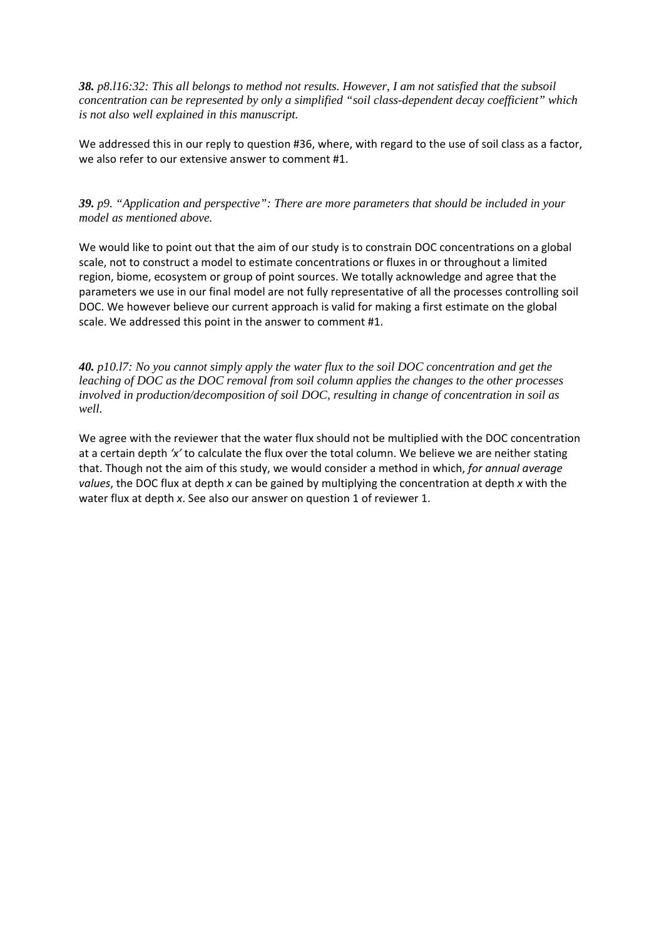*38. p8.l16:32: This all belongs to method not results. However, I am not satisfied that the subsoil concentration can be represented by only a simplified "soil class-dependent decay coefficient" which is not also well explained in this manuscript.*

We addressed this in our reply to question #36, where, with regard to the use of soil class as a factor, we also refer to our extensive answer to comment #1.

*39. p9. "Application and perspective": There are more parameters that should be included in your model as mentioned above.*

We would like to point out that the aim of our study is to constrain DOC concentrations on a global scale, not to construct a model to estimate concentrations or fluxes in or throughout a limited region, biome, ecosystem or group of point sources. We totally acknowledge and agree that the parameters we use in our final model are not fully representative of all the processes controlling soil DOC. We however believe our current approach is valid for making a first estimate on the global scale. We addressed this point in the answer to comment #1.

*40. p10.l7: No you cannot simply apply the water flux to the soil DOC concentration and get the leaching of DOC as the DOC removal from soil column applies the changes to the other processes involved in production/decomposition of soil DOC, resulting in change of concentration in soil as well.*

We agree with the reviewer that the water flux should not be multiplied with the DOC concentration at a certain depth *'x'* to calculate the flux over the total column. We believe we are neither stating that. Though not the aim of this study, we would consider a method in which, *for annual average values*, the DOC flux at depth *x* can be gained by multiplying the concentration at depth *x* with the water flux at depth *x*. See also our answer on question 1 of reviewer 1.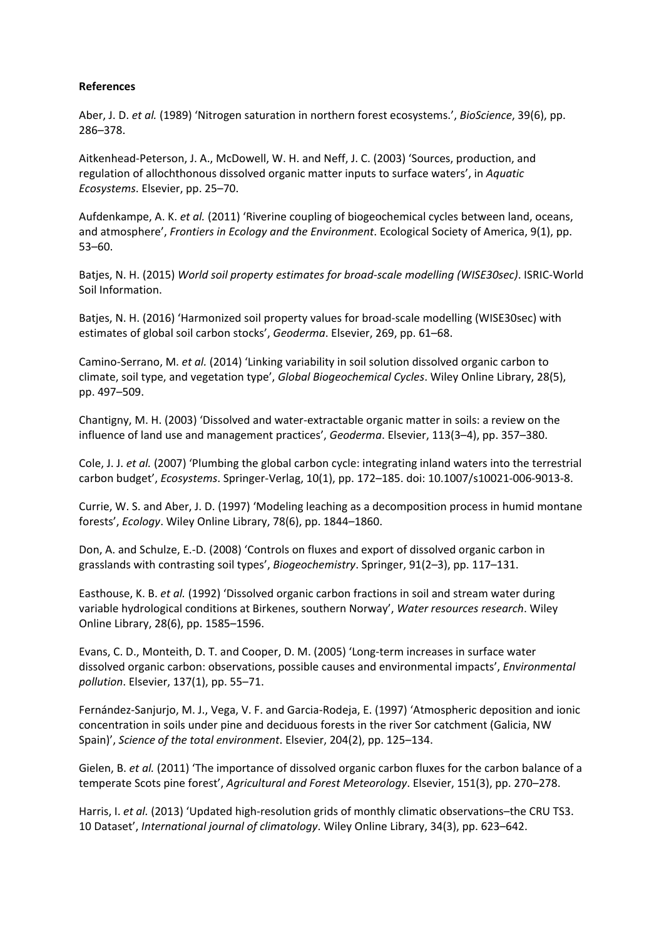### **References**

Aber, J. D. *et al.* (1989) 'Nitrogen saturation in northern forest ecosystems.', *BioScience*, 39(6), pp. 286–378.

Aitkenhead-Peterson, J. A., McDowell, W. H. and Neff, J. C. (2003) 'Sources, production, and regulation of allochthonous dissolved organic matter inputs to surface waters', in *Aquatic Ecosystems*. Elsevier, pp. 25–70.

Aufdenkampe, A. K. *et al.* (2011) 'Riverine coupling of biogeochemical cycles between land, oceans, and atmosphere', *Frontiers in Ecology and the Environment*. Ecological Society of America, 9(1), pp. 53–60.

Batjes, N. H. (2015) *World soil property estimates for broad-scale modelling (WISE30sec)*. ISRIC-World Soil Information.

Batjes, N. H. (2016) 'Harmonized soil property values for broad-scale modelling (WISE30sec) with estimates of global soil carbon stocks', *Geoderma*. Elsevier, 269, pp. 61–68.

Camino-Serrano, M. *et al.* (2014) 'Linking variability in soil solution dissolved organic carbon to climate, soil type, and vegetation type', *Global Biogeochemical Cycles*. Wiley Online Library, 28(5), pp. 497–509.

Chantigny, M. H. (2003) 'Dissolved and water-extractable organic matter in soils: a review on the influence of land use and management practices', *Geoderma*. Elsevier, 113(3–4), pp. 357–380.

Cole, J. J. *et al.* (2007) 'Plumbing the global carbon cycle: integrating inland waters into the terrestrial carbon budget', *Ecosystems*. Springer-Verlag, 10(1), pp. 172–185. doi: 10.1007/s10021-006-9013-8.

Currie, W. S. and Aber, J. D. (1997) 'Modeling leaching as a decomposition process in humid montane forests', *Ecology*. Wiley Online Library, 78(6), pp. 1844–1860.

Don, A. and Schulze, E.-D. (2008) 'Controls on fluxes and export of dissolved organic carbon in grasslands with contrasting soil types', *Biogeochemistry*. Springer, 91(2–3), pp. 117–131.

Easthouse, K. B. *et al.* (1992) 'Dissolved organic carbon fractions in soil and stream water during variable hydrological conditions at Birkenes, southern Norway', *Water resources research*. Wiley Online Library, 28(6), pp. 1585–1596.

Evans, C. D., Monteith, D. T. and Cooper, D. M. (2005) 'Long-term increases in surface water dissolved organic carbon: observations, possible causes and environmental impacts', *Environmental pollution*. Elsevier, 137(1), pp. 55–71.

Fernández-Sanjurjo, M. J., Vega, V. F. and Garcia-Rodeja, E. (1997) 'Atmospheric deposition and ionic concentration in soils under pine and deciduous forests in the river Sor catchment (Galicia, NW Spain)', *Science of the total environment*. Elsevier, 204(2), pp. 125–134.

Gielen, B. *et al.* (2011) 'The importance of dissolved organic carbon fluxes for the carbon balance of a temperate Scots pine forest', *Agricultural and Forest Meteorology*. Elsevier, 151(3), pp. 270–278.

Harris, I. *et al.* (2013) 'Updated high-resolution grids of monthly climatic observations–the CRU TS3. 10 Dataset', *International journal of climatology*. Wiley Online Library, 34(3), pp. 623–642.